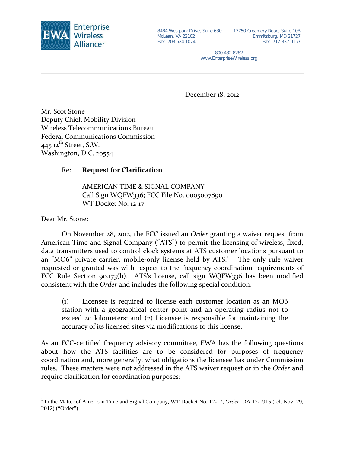

McLean, VA 22102 Fax: 703.524.1074

8484 Westpark Drive, Suite 630 17750 Creamery Road, Suite 10B Emmitsburg, MD 21727 Fax: 717.337.9157

> 800.482.8282 www.EnterpriseWireless.org

December 18, 2012

Mr. Scot Stone Deputy Chief, Mobility Division Wireless Telecommunications Bureau Federal Communications Commission  $445$  12<sup>th</sup> Street, S.W. Washington, D.C. 20554

## Re: **Request for Clarification**

AMERICAN TIME & SIGNAL COMPANY Call Sign WQFW336; FCC File No. 0005007890 WT Docket No. 12-17

Dear Mr. Stone:

On November 28, 2012, the FCC issued an *Order* granting a waiver request from American Time and Signal Company ("ATS") to permit the licensing of wireless, fixed, data transmitters used to control clock systems at ATS customer locations pursuant to an "MO6" private carrier, mobile-only license held by ATS.<sup>[1](#page-0-0)</sup> The only rule waiver requested or granted was with respect to the frequency coordination requirements of FCC Rule Section 90.173(b). ATS's license, call sign WQFW336 has been modified consistent with the *Order* and includes the following special condition:

(1) Licensee is required to license each customer location as an MO6 station with a geographical center point and an operating radius not to exceed 20 kilometers; and (2) Licensee is responsible for maintaining the accuracy of its licensed sites via modifications to this license.

As an FCC-certified frequency advisory committee, EWA has the following questions about how the ATS facilities are to be considered for purposes of frequency coordination and, more generally, what obligations the licensee has under Commission rules. These matters were not addressed in the ATS waiver request or in the *Order* and require clarification for coordination purposes:

<span id="page-0-0"></span> <sup>1</sup> In the Matter of American Time and Signal Company, WT Docket No. 12-17, *Order*, DA 12-1915 (rel. Nov. 29, 2012) ("Order").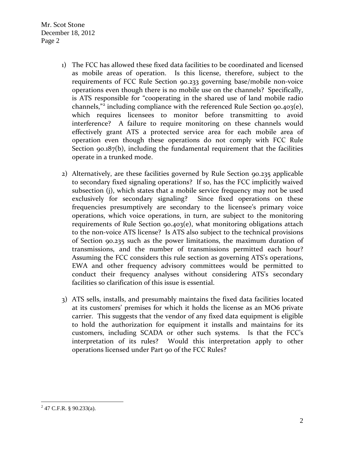Mr. Scot Stone December 18, 2012 Page 2

- 1) The FCC has allowed these fixed data facilities to be coordinated and licensed as mobile areas of operation. Is this license, therefore, subject to the requirements of FCC Rule Section 90.233 governing base/mobile non-voice operations even though there is no mobile use on the channels? Specifically, is ATS responsible for "cooperating in the shared use of land mobile radio channels,"[2](#page-1-0) including compliance with the referenced Rule Section 90.403(e), which requires licensees to monitor before transmitting to avoid interference? A failure to require monitoring on these channels would effectively grant ATS a protected service area for each mobile area of operation even though these operations do not comply with FCC Rule Section 90.187(b), including the fundamental requirement that the facilities operate in a trunked mode.
- 2) Alternatively, are these facilities governed by Rule Section 90.235 applicable to secondary fixed signaling operations? If so, has the FCC implicitly waived subsection (j), which states that a mobile service frequency may not be used exclusively for secondary signaling? Since fixed operations on these frequencies presumptively are secondary to the licensee's primary voice operations, which voice operations, in turn, are subject to the monitoring requirements of Rule Section 90.403(e), what monitoring obligations attach to the non-voice ATS license? Is ATS also subject to the technical provisions of Section 90.235 such as the power limitations, the maximum duration of transmissions, and the number of transmissions permitted each hour? Assuming the FCC considers this rule section as governing ATS's operations, EWA and other frequency advisory committees would be permitted to conduct their frequency analyses without considering ATS's secondary facilities so clarification of this issue is essential.
- 3) ATS sells, installs, and presumably maintains the fixed data facilities located at its customers' premises for which it holds the license as an MO6 private carrier. This suggests that the vendor of any fixed data equipment is eligible to hold the authorization for equipment it installs and maintains for its customers, including SCADA or other such systems. Is that the FCC's interpretation of its rules? Would this interpretation apply to other operations licensed under Part 90 of the FCC Rules?

<span id="page-1-0"></span> $2$  47 C.F.R. § 90.233(a).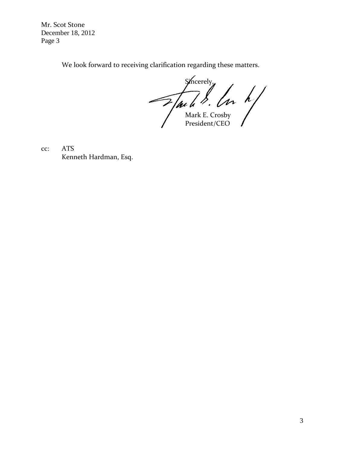Mr. Scot Stone December 18, 2012 Page 3

We look forward to receiving clarification regarding these matters.

Sincerely<sub>y</sub> Mark E. Crosby President/CEO

cc: ATS Kenneth Hardman, Esq.